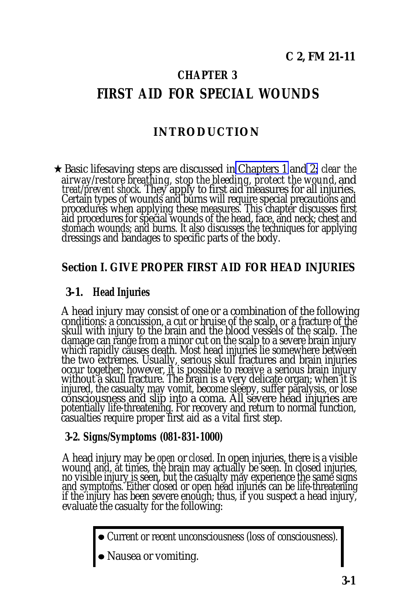## **C 2, FM 21-11**

# <span id="page-0-0"></span>**CHAPTER 3 FIRST AID FOR SPECIAL WOUNDS**

## **INTRODUCTION**

★ Basic lifesaving steps are discussed in Chapters 1 and 2: *clear the airway/restore breathing, stop the bleeding, protect the wound,* and *treat/prevent shock.* They apply to first aid measures for all injuries. Certain types of wounds and burns will require special precautions and procedures when applying these measures. This chapter discusses first aid procedures for special wounds of the head, face, and neck; chest and stomach wounds; and burns. It also discusses the techniques for applying dressings and bandages to specific parts of the body.

## **Section I. GIVE PROPER FIRST AID FOR HEAD INJURIES**

## **3-1. Head Injuries**

A head injury may consist of one or a combination of the following conditions: a concussion, a cut or bruise of the scalp, or a fracture of the skull with injury to the brain and the blood vessels of the scalp. The damage can range from a minor cut on the scalp to a severe brain injury which rapidly causes death. Most head injuries lie somewhere between the two extremes. Usually, serious skull fractures and brain injuries occur together; however, it is possible to receive a serious brain injury without a skull fracture. The brain is a very delicate organ; when it is injured, the casualty may vomit, become sleepy, suffer paralysis, or lose consciousness and slip into a coma. All severe head injuries are potentially life-threatening. For recovery and return to normal function, casualties require proper first aid as a vital first step.

## **3-2. Signs/Symptoms** *(081-831-1000)*

A head injury may be *open* or *closed.* In open injuries, there is a visible wound and, at times, the brain may actually be seen. In closed injuries, no visible injury is seen, but the casualty may experience the same signs and symptoms. Either closed or open head injuries can be life-threatening if the injury has been severe enough; thus, if you suspect a head injury, evaluate the casualty for the following:

- Current or recent unconsciousness (loss of consciousness).
- Nausea or vomiting.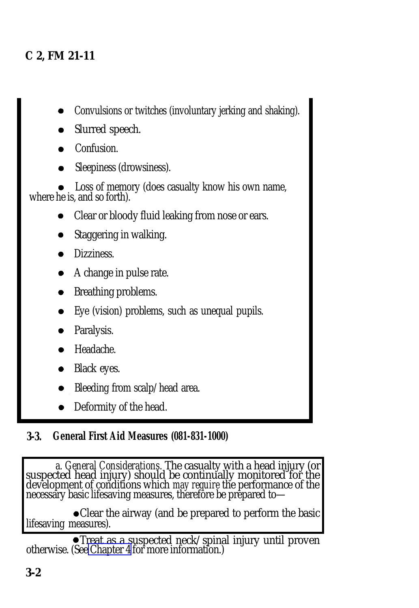## **C 2, FM 21-11**

- Convulsions or twitches (involuntary jerking and shaking).
- Slurred speech.
- Confusion.
- Sleepiness (drowsiness).

Loss of memory (does casualty know his own name, where he is, and so forth).

- Clear or bloody fluid leaking from nose or ears.
- Staggering in walking.
- Dizziness.
- A change in pulse rate.
- Breathing problems.
- Eye (vision) problems, such as unequal pupils.
- Paralysis.
- Headache.
- Black eyes.
- Bleeding from scalp/head area.
- Deformity of the head.

## **3-3. General First Aid Measures** *(081-831-1000)*

*a. General Considerations.* The casualty with a head injury (or suspected head injury) should be continually monitored for the development of conditions which *may require* the performance of the necessary basic lifesaving measures, therefore be prepared to—

• Clear the airway (and be prepared to perform the basic lifesaving measures).

Treat as a suspected neck/spinal injury until proven otherwise. (See [Chapter 4](#page-0-0) for more information.)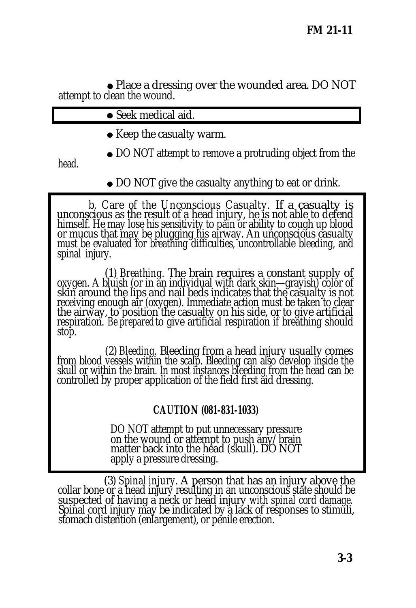Place a dressing over the wounded area. DO NOT attempt to clean the wound.

## Seek medical aid.

- $\bullet$  Keep the casualty warm.
- DO NOT attempt to remove a protruding object from the

head.

• DO NOT give the casualty anything to eat or drink.

*b. Care of the Unconscious Casualty.* If a casualty is unconscious as the result of a head injury, he is not able to defend himself. He may lose his sensitivity to pain or ability to cough up blood or mucus that may be plugging his airway. An unconscious casualty must be evaluated for breathing difficulties, uncontrollable bleeding, and spinal injury.

(1) *Breathing.* The brain requires a constant supply of oxygen. A bluish (or in an individual with dark skin—grayish) color of skin around the lips and nail beds indicates that the casualty is not receiving enough air (oxygen). Immediate action must be taken to clear the airway, to position the casualty on his side, or to give artificial respiration. *Be prepared* to give artificial respiration if breathing should stop.

(2) *Bleeding.* Bleeding from a head injury usually comes from blood vessels within the scalp. Bleeding can also develop inside the skull or within the brain. In most instances bleeding from the head can be controlled by proper application of the field first aid dressing.

## **CAUTION** *(081-831-1033)*

DO NOT attempt to put unnecessary pressure on the wound or attempt to push any/brain matter back into the head (skull). DO NOT apply a pressure dressing.

(3) *Spinal injury.* A person that has an injury above the collar bone or a head injury resulting in an unconscious state should be suspected of having a neck or head injury *with spinal cord damage.* Spinal cord injury may be indicated by a lack of responses to stimuli, stomach distention (enlargement), or penile erection.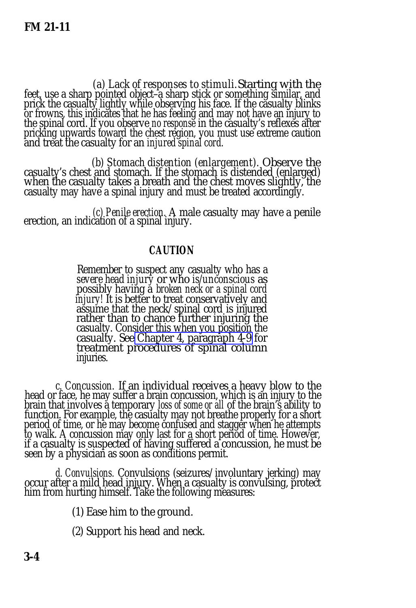*(a) Lack of responses to stimuli.* Starting with the feet, use a sharp pointed object–a sharp stick or something similar, and prick the casualty lightly while observing his face. If the casualty blinks or frowns, this indicates that he has feeling and may not have an injury to the spinal cord. If you observe *no response* in the casualty's reflexes after pricking upwards toward the chest region, you must use extreme caution and treat the casualty for an *injured* spinal cord.

*(b) Stomach distention (enlargement).* Observe the casualty's chest and stomach. If the stomach is distended (enlarged) when the casualty takes a breath and the chest moves slightly, the casualty may have a spinal injury and must be treated accordingly.

*(c) Penile erection.* A male casualty may have a penile erection, an indication of a spinal injury.

## **CAUTION**

Remember to suspect any casualty who has a *severe head injury* or who *is/unconscious* as possibly having a *broken neck or a spinal cord injury!* It is better to treat conservatively and assume that the neck/spinal cord is injured rather than to chance further injuring the casualty. Consider this when you position the casualty. See [Chapter 4, paragraph 4-9](#page-18-0) for treatment procedures of spinal column injuries.

*c. Concussion.* If an individual receives a heavy blow to the head or face, he may suffer a brain concussion, which is an injury to the brain that involves a temporary *loss of some or all* of the brain's ability to function. For example, the casualty may not breathe properly for a short period of time, or he may become confused and stagger when he attempts to walk. A concussion may only last for a short period of time. However, if a casualty is suspected of having suffered a concussion, he must be seen by a physician as soon as conditions permit.

*d. Convulsions.* Convulsions (seizures/involuntary jerking) may occur after a mild head injury. When a casualty is convulsing, protect him from hurting himself. Take the following measures:

(1) Ease him to the ground.

(2) Support his head and neck.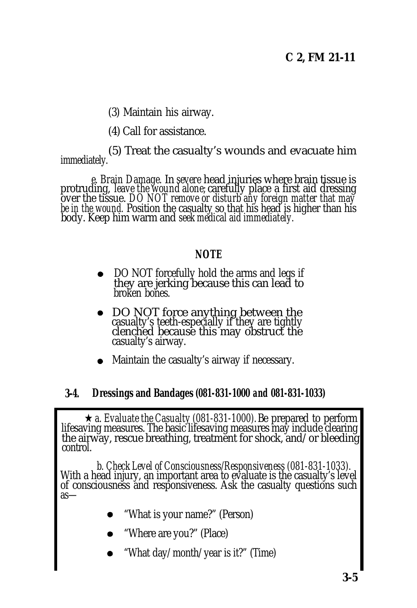(3) Maintain his airway.

(4) Call for assistance.

(5) Treat the casualty's wounds and evacuate him immediately.

*e. Brain Damage.* In *severe* head injuries where brain tissue is protruding, *leave the wound alone;* carefully place a first aid dressing over the tissue. *DO NOT remove or disturb any foreign matter that may be in the wound.* Position the casualty so that his head is higher than his body. Keep him warm and *seek medical aid immediately.*

## **NOTE**

- DO NOT forcefully hold the arms and legs if they are jerking because this can lead to broken bones.
- DO NOT force anything between the casualty's teeth-especially if they are tightly clenched because this may obstruct the casualty's airway.
- Maintain the casualty's airway if necessary.

## **3-4. Dressings and Bandages** *(081-831-1000 and 081-831-1033)*

★ *a. Evaluate the Casualty (081-831-1000).* Be prepared to perform lifesaving measures. The basic lifesaving measures may include clearing the airway, rescue breathing, treatment for shock, and/or bleeding control.

*b. Check Level of Consciousness/Responsiveness (081-831-1033).* With a head injury, an important area to evaluate is the casualty's level of consciousness and responsiveness. Ask the casualty questions such as—

- "What is your name?" (Person)
- "Where are you?" (Place)
- "What day/month/year is it?" (Time)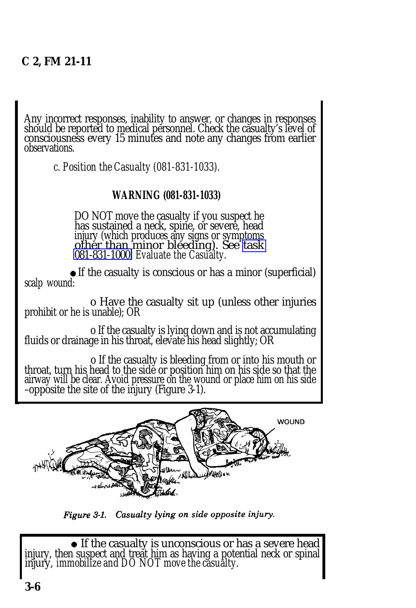## **C 2, FM 21-11**

Any incorrect responses, inability to answer, or changes in responses should be reported to medical personnel. Check the casualty's level of consciousness every 15 minutes and note any changes from earlier observations.

*c. Position the Casualty (081-831-1033).*

### **WARNING** *(081-831-1033)*

DO NOT move the casualty if you suspect he has sustained a neck, spine, or severe, head injury (which produces any signs or symptoms other than minor bleeding). See [task](#page-0-0) [081-831-1000,](#page-0-0) *Evaluate the Casualty.*

If the casualty is conscious or has a minor (superficial) scalp wound:

o Have the casualty sit up (unless other injuries prohibit or he is unable); OR

o If the casualty is lying down and is not accumulating fluids or drainage in his throat, elevate his head slightly; OR

o If the casualty is bleeding from or into his mouth or throat, turn his head to the side or position him on his side so that the airway will be clear. Avoid pressure on the wound or place him on his side –opposite the site of the injury (Figure 3-1).



Figure 3-1. Casualty lying on side opposite injury.

• If the casualty is unconscious or has a severe head injury, then suspect and treat him as haying a potential neck or spinal injury, *immobilize and DO NOT move the casualty.*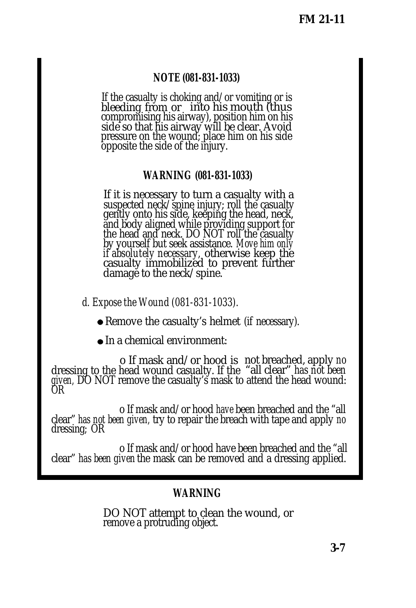#### **NOTE** *(081-831-1033)*

If the casualty is choking and/or vomiting or is bleeding from or into his mouth (thus compromising his airway), position him on his side so that his airway will be clear. Avoid pressure on the wound; place him on his side opposite the side of the injury.

#### **WARNING** *(081-831-1033)*

If it is necessary to turn a casualty with a suspected neck/spine injury; roll the casualty gently onto his side, keeping the head, neck, and body aligned while providing support for the head and neck. DO NOT roll the casualty by yourself but seek assistance. *Move him only if absolutely necessary,* otherwise keep the casualty immobilized to prevent further damage to the neck/spine.

*d. Expose the Wound (081-831-1033).*

- Remove the casualty's helmet (if necessary).
- In a chemical environment:

o If mask and/or hood is not breached, apply *no* dressing to the head wound casualty. If the dressing to the head wound casualty. If the "all clear" has not been *given,* DO NOT remove the casualty's mask to attend the head wound: OR

o If mask and/or hood *have* been breached and the "all clear" *has not been given,* try to repair the breach with tape and apply *no* dressing; OR

o If mask and/or hood have been breached and the "all clear" *has been given* the mask can be removed and a dressing applied.

#### **WARNING**

DO NOT attempt to clean the wound, or remove a protruding object.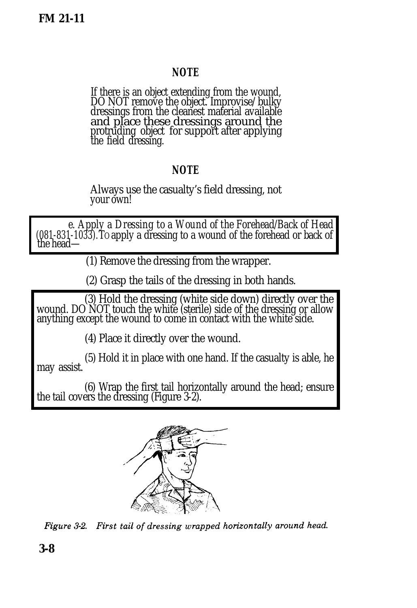**FM 21-11**

### **NOTE**

If there is an object extending from the wound, DO NOT remove the object. Improvise/bulky dressings from the cleanest material available and place these dressings around the protruding object the field dressing. for support after applying

## **NOTE**

Always use the casualty's field dressing, not your own!

*e. Apply a Dressing to a Wound of the Forehead/Back of Head (081-831-1033).* TO apply a dressing to a wound of the forehead or back of the head—

(1) Remove the dressing from the wrapper.

(2) Grasp the tails of the dressing in both hands.

(3) Hold the dressing (white side down) directly over the wound. DO NOT touch the white (sterile) side of the dressing or allow anything except the wound to come in contact with the white side.

(4) Place it directly over the wound.

(5) Hold it in place with one hand. If the casualty is able, he may assist.

(6) Wrap the first tail horizontally around the head; ensure the tail covers the dressing (Figure 3-2).



Figure 3-2. First tail of dressing wrapped horizontally around head.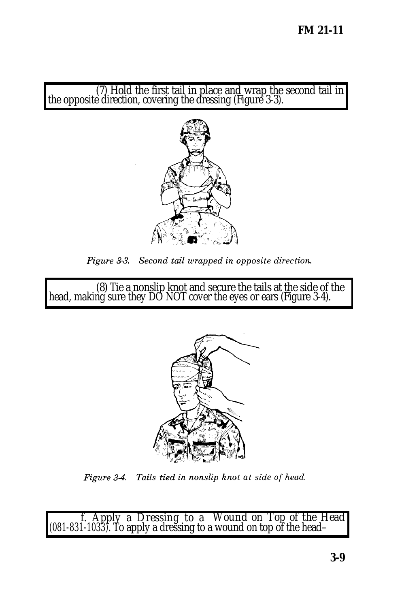



Figure 3-3. Second tail wrapped in opposite direction.

(8) Tie a nonslip knot and secure the tails at the side of the head, making sure they DO NOT cover the eyes or ears (Figure 3-4).



Figure 3-4. Tails tied in nonslip knot at side of head.

*f. Apply a Dressing to a Wound on Top of the Head (081-831-1033).* To apply a dressing to a wound on top of the head–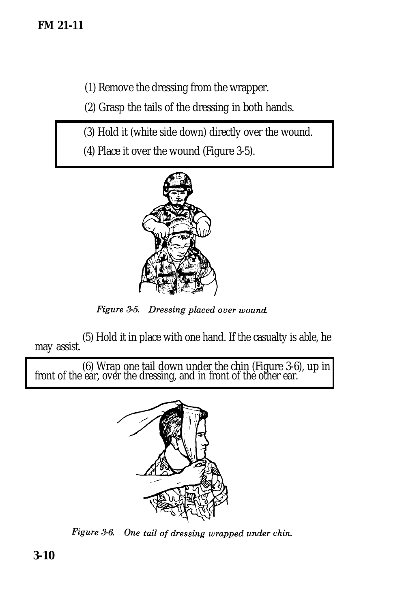## <span id="page-9-0"></span>**FM 21-11**

- (1) Remove the dressing from the wrapper.
- (2) Grasp the tails of the dressing in both hands.
- (3) Hold it (white side down) directly over the wound.
- (4) Place it over the wound (Figure 3-5).



Figure 3-5. Dressing placed over wound.

(5) Hold it in place with one hand. If the casualty is able, he may assist.

(6) Wrap one tail down under the chin (Figure 3-6), up in front of the ear, over the dressing, and in front of the other ear.



Figure 3-6. One tail of dressing wrapped under chin.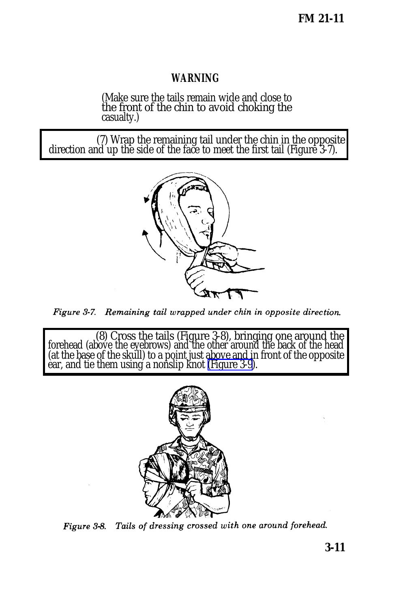## **WARNING**

<span id="page-10-0"></span>(Make sure the tails remain wide and close to the front of the chin to avoid choking the casualty.)

(7) Wrap the remaining tail under the chin in the opposite direction and up the side of the face to meet the first tail (Figure 3-7).



Figure 3-7. Remaining tail wrapped under chin in opposite direction.

(8) Cross the tails (Figure 3-8), bringing one around the forehead (above the eyebrows) and the other around the back of the head (at the base of the skull) to a point just above and in front of the opposite ear, and tie them using a nonslip knot [\(Figure 3-9\)](#page-11-0).



Figure 3-8. Tails of dressing crossed with one around forehead.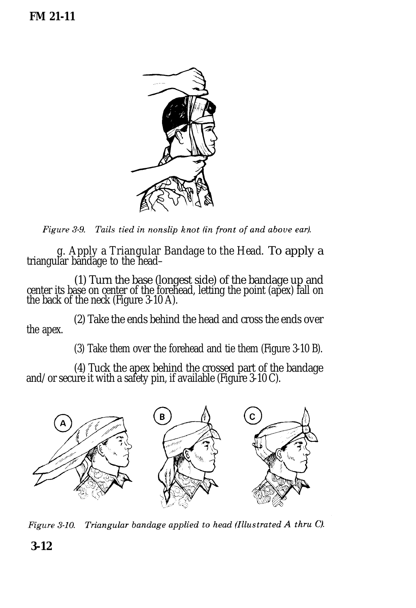<span id="page-11-0"></span>

Figure 3-9. Tails tied in nonslip knot (in front of and above ear).

*g. Apply a Triangular Bandage to the Head.* To apply a triangular bandage to the head–

(1) Turn the base (longest side) of the bandage up and center its base on center of the forehead, letting the point (apex) fall on the back of the neck (Figure 3-10 A).

(2) Take the ends behind the head and cross the ends over the apex.

(3) Take them over the forehead and tie them (Figure 3-10 B).

(4) Tuck the apex behind the crossed part of the bandage and/or secure it with a safety pin, if available (Figure 3-10 C).



Figure 3-10. Triangular bandage applied to head (Illustrated A thru C).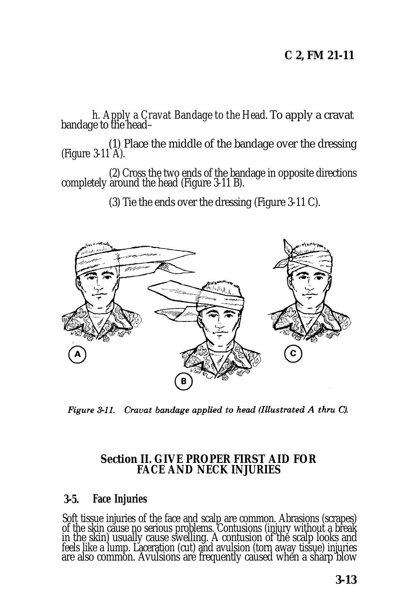## **C 2, FM 21-11**

*h. Apply a Cravat Bandage to the Head.* To apply a cravat bandage to the head–

(1) Place the middle of the bandage over the dressing (Figure  $3-11 \text{ Å}$ ).

(2) Cross the two ends of the bandage in opposite directions completely around the head (Figure 3-11 B).

(3) Tie the ends over the dressing (Figure 3-11 C).



Figure 3-11. Cravat bandage applied to head (Illustrated A thru C).

### **Section II. GIVE PROPER FIRST AID FOR FACE AND NECK INJURIES**

### **3-5. Face Injuries**

Soft tissue injuries of the face and scalp are common. Abrasions (scrapes) of the skin cause no serious problems. Contusions (injury without a break in the skin) usually cause swelling. A contusion of the scalp looks and feels like a lump. Laceration (cut) and avulsion (torn away tissue) injuries are also common. Avulsions are frequently caused when a sharp blow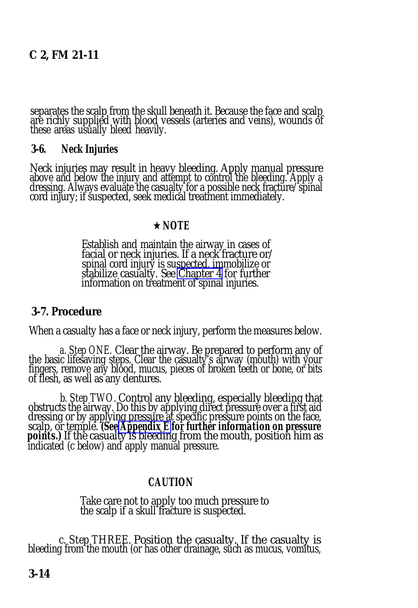separates the scalp from the skull beneath it. Because the face and scalp are richly supplied with blood vessels (arteries and veins), wounds of these areas usually bleed heavily.

#### **3-6. Neck Injuries**

Neck injuries may result in heavy bleeding. Apply manual pressure above and below the injury and attempt to control the bleeding. Apply a dressing. Always evaluate the casualty for a possible neck fracture/spinal cord injury; if suspected, seek medical treatment immediately.

#### ★ **NOTE**

Establish and maintain the airway in cases of facial or neck injuries. If a neck fracture or/ spinal cord injury is suspected, immobilize or stabilize casualty. See [Chapter 4](#page-0-0) for further information on treatment of spinal injuries.

### **3-7. Procedure**

When a casualty has a face or neck injury, perform the measures below.

*a. Step ONE.* Clear the airway. Be prepared to perform any of the basic lifesaving steps. Clear the casualty's airway (mouth) with your fingers, remove any blood, mucus, pieces of broken teeth or bone, or bits of flesh, as well as any dentures.

*b. Step TWO.* Control any bleeding, especially bleeding that obstructs the airway. Do this by applying direct pressure over a first aid dressing or by applying pressure at specific pressure points on the face, scalp, or temple. *(See [Appendix E](#page-0-0) for further information on pressure points.)* If the casualty is bleeding from the mouth, position him as indicated (c below) and apply manual pressure.

### **CAUTION**

Take care not to apply too much pressure to the scalp if a skull fracture is suspected.

*c. Step THREE.* Position the casualty. If the casualty is bleeding from the mouth (or has other drainage, such as mucus, vomitus,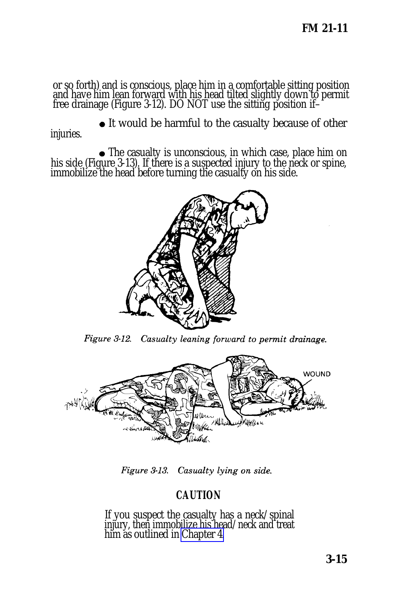or so forth) and is conscious, place him in a comfortable sitting position and have him lean forward with his head tilted slightly down to permit free drainage (Figure 3-12). DO NOT use the sitting position if–

 $\bullet$  It would be harmful to the casualty because of other injuries.

The casualty is unconscious, in which case, place him on his side (Figure 3-13). If there is a suspected injury to the neck or spine, immobilize the head before turning the casualty on his side.



Figure 3-12. Casualty leaning forward to permit drainage.



Figure 3-13. Casualty lying on side.

## **CAUTION**

If you suspect the casualty has a neck/spinal injury, then immobilize his head/neck and treat him as outlined in Chapter 4.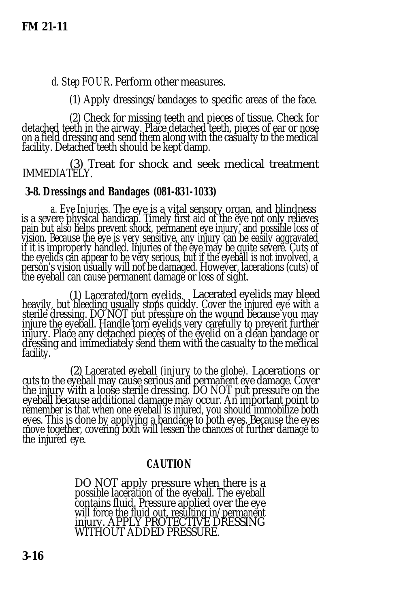*d. Step FOUR.* Perform other measures.

(1) Apply dressings/bandages to specific areas of the face.

(2) Check for missing teeth and pieces of tissue. Check for detached teeth in the airway. Place detached teeth, pieces of ear or nose on a field dressing and send them along with the casualty to the medical facility. Detached teeth should be kept damp.

(3) Treat for shock and seek medical treatment IMMEDIATELY.

#### **3-8. Dressings and Bandages** *(081-831-1033)*

*a. Eye Injuries.* The eye is a vital sensory organ, and blindness is a severe physical handicap. Timely first aid of the eye not only relieves pain but also helps prevent shock, permanent eye injury, and possible loss of vision. Because the eye is very sensitive, any injury can be easily aggravated if it is improperly handled. Injuries of the eye may be quite severe. Cuts of the eyelids can appear to be very serious, but if the eyeball is not involved, a person's vision usually will not be damaged. However, lacerations (cuts) of the eyeball can cause permanent damage or loss of sight.

(1) *Lacerated/torn eyelids.* Lacerated eyelids may bleed heavily, but bleeding usually stops quickly. Cover the injured eye with a sterile dressing. DO NOT put pressure on the wound because you may injure the eyeball. Handle torn eyelids very carefully to prevent further injury. Place any detached pieces of the eyelid on a clean bandage or dressing and immediately send them with the casualty to the medical facility.

(2) *Lacerated eyeball (injury to the globe).* Lacerations or cuts to the eyeball may cause serious and permanent eye damage. Cover the injury with a loose sterile dressing. DO NOT put pressure on the eyeball because additional damage may occur. An important point to remember is that when one eyeball is injured, you should immobilize both eyes. This is done by applying a bandage to both eyes. Because the eyes move together, covering both will lessen the chances of further damage to the injured eye.

#### **CAUTION**

DO NOT apply pressure when there is a possible laceration of the eyeball. The eyeball contains fluid. Pressure applied over the eye will force the fluid out, resulting in/permanent injury. APPLY PROTECTIVE DRESSING WITHOUT ADDED PRESSURE.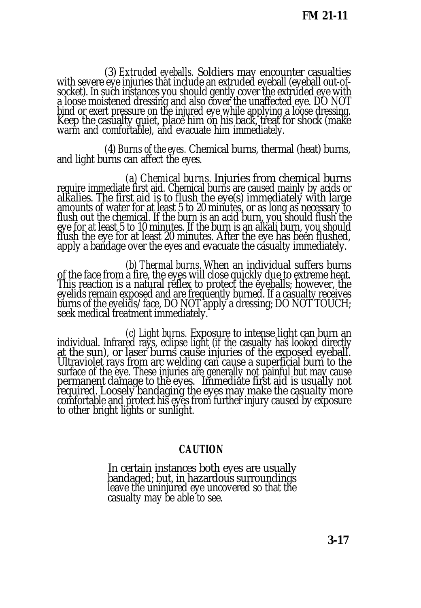(3) *Extruded eyeballs.* Soldiers may encounter casualties with severe eye injuries that include an extruded eyeball (eyeball out-ofsocket). In such instances you should gently cover the extruded eye with a loose moistened dressing and also cover the unaffected eye. DO NOT bind or exert pressure on the injured eye while applying a loose dressing. Keep the casualty quiet, place him on his back, treat for shock (make warm and comfortable), and evacuate him immediately.

(4) *Burns of the eyes.* Chemical burns, thermal (heat) burns, and light burns can affect the eyes.

*(a) Chemical burns.* Injuries from chemical burns require immediate first aid. Chemical burns are caused mainly by acids or alkalies. The first aid is to flush the eye(s) immediately with large amounts of water for at least 5 to 20 minutes, or as long as necessary to flush out the chemical. If the burn is an acid burn, you should flush the eye for at least 5 to 10 minutes. If the burn is an alkali burn, you should flush the eye for at least 20 minutes. After the eye has been flushed, apply a bandage over the eyes and evacuate the casualty immediately.

*(b) Thermal burns.* When an individual suffers burns of the face from a fire, the eyes will close quickly due to extreme heat. This reaction is a natural reflex to protect the eyeballs; however, the eyelids remain exposed and are frequently burned. If a casualty receives burns of the eyelids/face, DO NOT apply a dressing; DO NOT TOUCH; seek medical treatment immediately.

*(c) Light burns.* Exposure to intense light can burn an individual. Infrared rays, eclipse light (if the casualty has looked directly at the sun), or laser burns cause injuries of the exposed eyeball. Ultraviolet rays from arc welding can cause a superficial burn to the surface of the eye. These injuries are generally not painful but may cause permanent damage to the eyes. Immediate first aid is usually not required. Loosely bandaging the eyes may make the casualty more comfortable and protect his eyes from further injury caused by exposure to other bright lights or sunlight.

#### **CAUTION**

In certain instances both eyes are usually bandaged; but, in hazardous surroundings leave the uninjured eye uncovered so that the casualty may be able to see.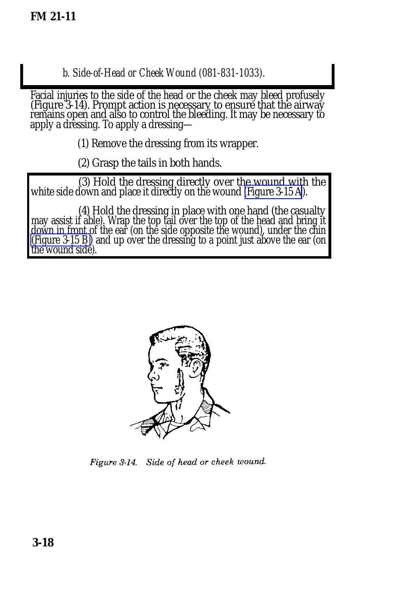*b. Side-of-Head or Cheek Wound (081-831-1033).*

Facial injuries to the side of the head or the cheek may bleed profusely (Figure 3-14). Prompt action is necessary to ensure that the airway remains open and also to control the bleeding. It may be necessary to apply a dressing. To apply a dressing—

(1) Remove the dressing from its wrapper.

(2) Grasp the tails in both hands.

(3) Hold the dressing directly over the wound with the white side down and place it directly on the wound [\(Figure 3-15 A](#page-18-0)).

(4) Hold the dressing in place with one hand (the casualty may assist if able). Wrap the top tail over the top of the head and bring it down in front of the ear (on the side opposite the wound), under the chin [\(Figure 3-15 B \)](#page-18-0) and up over the dressing to a point just above the ear (on the wound side).



Figure 3-14. Side of head or cheek wound.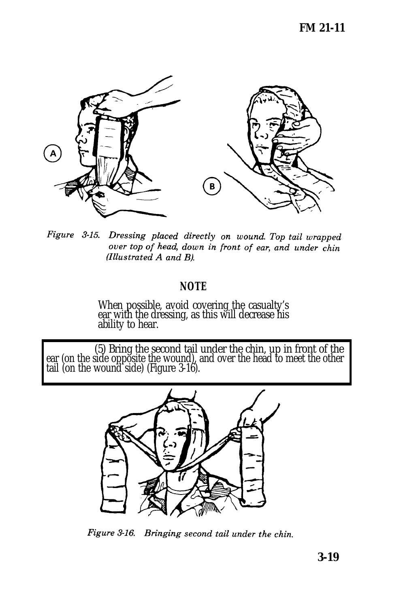<span id="page-18-0"></span>

Figure 3-15. Dressing placed directly on wound. Top tail wrapped over top of head, down in front of ear, and under chin (Illustrated A and B).

## **NOTE**

When possible, avoid covering the casualty's ear with the dressing, as this will decrease his ability to hear.

(5) Bring the second tail under the chin, up in front of the ear (on the side opposite the wound), and over the head to meet the other tail (on the wound side) (Figure 3-16).



Figure 3-16. Bringing second tail under the chin.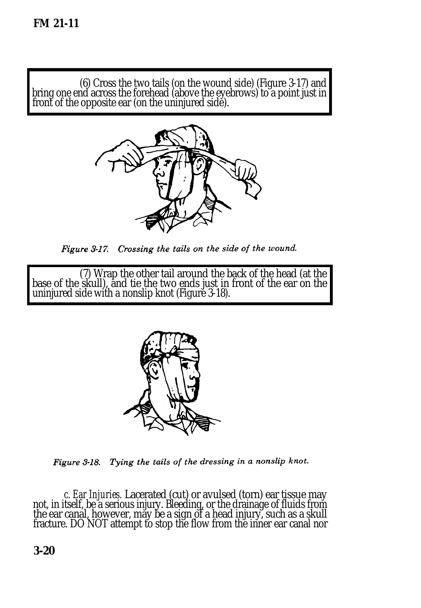(6) Cross the two tails (on the wound side) (Figure 3-17) and bring one end across the forehead (above the eyebrows) to a point just in front of the opposite ear (on the uninjured side).



Figure 3-17. Crossing the tails on the side of the wound.

(7) Wrap the other tail around the back of the head (at the base of the skull), and tie the two ends just in front of the ear on the uninjured side with a nonslip knot (Figure 3-18).



Figure 3-18. Tying the tails of the dressing in a nonslip knot.

*c. Ear Injuries.* Lacerated (cut) or avulsed (torn) ear tissue may not, in itself, be a serious injury. Bleeding, or the drainage of fluids from the ear canal, however, may be a sign of a head injury, such as a skull fracture. DO NOT attempt to stop the flow from the inner ear canal nor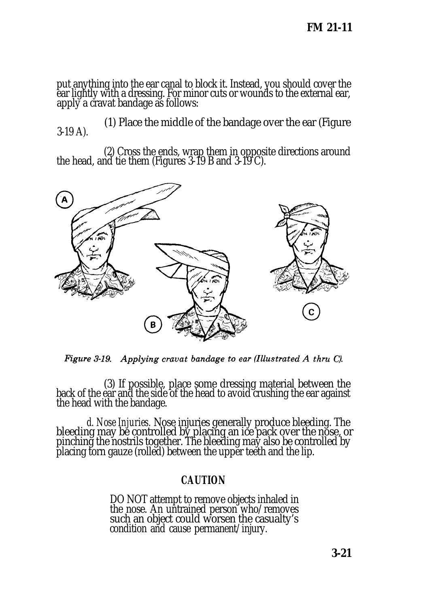put anything into the ear canal to block it. Instead, you should cover the ear lightly with a dressing. For minor cuts or wounds to the external ear, apply a cravat bandage as follows:

(1) Place the middle of the bandage over the ear (Figure 3-19 A).

(2) Cross the ends, wrap them in opposite directions around the head, and tie them (Figures  $3-19$  B and  $3-19$ <sup>T</sup>C).



Figure 3-19. Applying cravat bandage to ear (Illustrated A thru C).

(3) If possible, place some dressing material between the back of the ear and the side of the head to avoid crushing the ear against the head with the bandage.

*d. Nose Injuries.* Nose injuries generally produce bleeding. The bleeding may be controlled by placing an ice pack over the nose, or pinching the nostrils together. The bleeding may also be controlled by placing torn gauze (rolled) between the upper teeth and the lip.

### **CAUTION**

DO NOT attempt to remove objects inhaled in the nose. An untrained person who/removes such an object could worsen the casualty's condition and cause permanent/injury.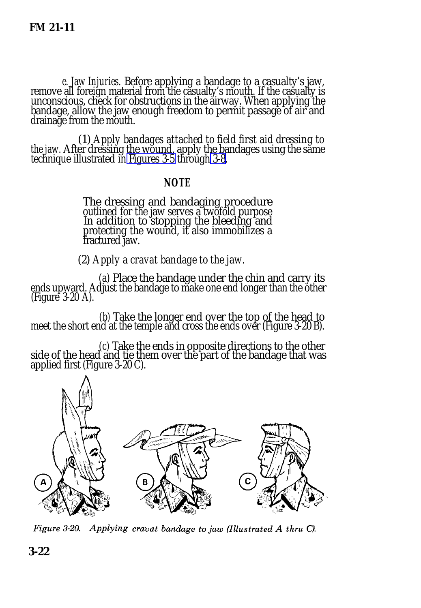*e. Jaw Injuries.* Before applying a bandage to a casualty's jaw, remove all foreign material from the casualty's mouth. If the casualty is unconscious, check for obstructions in the airway. When applying the bandage, allow the jaw enough freedom to permit passage of air and drainage from the mouth.

(1) *Apply bandages attached to field first aid dressing to the jaw.* After dressing the wound, apply the bandages using the same technique illustrated in [Figures 3-5](#page-9-0) through [3-8.](#page-10-0)

#### **NOTE**

The dressing and bandaging procedure outlined for the jaw serves a twofold purpose In addition to stopping the bleeding and protecting the wound, it also immobilizes a fractured jaw.

### (2) *Apply a cravat bandage to the jaw.*

*(a)* Place the bandage under the chin and carry its ends upward. Adjust the bandage to make one end longer than the other (Figure 3-20 A).

*(b)* Take the longer end over the top of the head to meet the short end at the temple and cross the ends over (Figure 3-20 B).

*(c)* Take the ends in opposite directions to the other side of the head and tie them over the part of the bandage that was applied first (Figure 3-20 C).



Figure 3-20. Applying cravat bandage to jaw (Illustrated A thru C).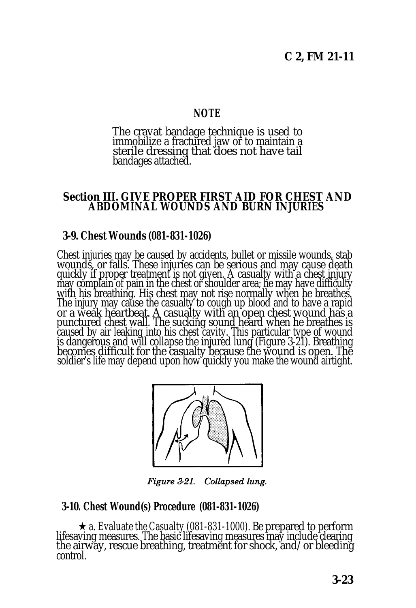## **C 2, FM 21-11**

#### **NOTE**

The cravat bandage technique is used to immobilize a fractured jaw or to maintain a sterile dressing that does not have tail bandages attached.

#### **Section III. GIVE PROPER FIRST AID FOR CHEST AND ABDOMINAL WOUNDS AND BURN INJURIES**

#### **3-9. Chest Wounds** *(081-831-1026)*

Chest injuries may be caused by accidents, bullet or missile wounds, stab wounds, or falls. These injuries can be serious and may cause death quickly if proper treatment is not given. A casualty with a chest injury may complain of pain in the chest or shoulder area; he may have difficulty with his breathing. His chest may not rise normally when he breathes. The injury may cause the casualty to cough up blood and to have a rapid or a weak heartbeat. A casualty with an open chest wound has a punctured chest wall. The sucking sound heard when he breathes is caused by air leaking into his chest cavity. This particular type of wound is dangerous and will collapse the injured lung (Figure 3-21). Breathing becomes difficult for the casualty because the wound is open. The soldier's life may depend upon how quickly you make the wound airtight.



Figure 3-21. Collapsed lung.

#### **3-10. Chest Wound(s) Procedure** *(081-831-1026)*

★ *a. Evaluate the Casualty (081-831-1000).* Be prepared to perform lifesaving measures. The basic lifesaving measures may include clearing the airway, rescue breathing, treatment for shock, and/or bleeding control.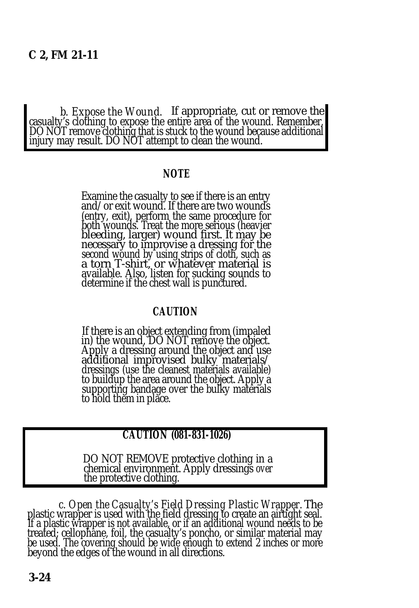*b. Expose the Wound.* If appropriate, cut or remove the casualty's clothing to expose the entire area of the wound. Remember, DO NOT remove clothing that is stuck to the wound because additional injury may result. DO NOT attempt to clean the wound.

#### **NOTE**

Examine the casualty to see if there is an entry and/or exit wound. If there are two wounds (entry, exit), perform the same procedure for both wounds. Treat the more serious (heavier bleeding, larger) wound first. It may be necessary to improvise a dressing for the second wound by using strips of cloth, such as a torn T-shirt, or whatever material is available. Also, listen for sucking sounds to determine if the chest wall is punctured.

### **CAUTION**

If there is an object extending from (impaled in) the wound, DO NOT remove the object. Apply a dressing around the object and use additional improvised bulky materials/ dressings (use the cleanest materials available) to buildup the area around the object. Apply a supporting bandage over the bulky materials to hold them in place.

### **CAUTION** *(081-831-1026)*

DO NOT REMOVE protective clothing in a chemical environment. Apply dressings *over* the protective clothing.

*c. Open the Casualty's Field Dressing Plastic Wrapper.* The plastic wrapper is used with the field dressing to create an airtight seal. If a plastic wrapper is not available, or if an additional wound needs to be treated; cellophane, foil, the casualty's poncho, or similar material may be used. The covering should be wide enough to extend 2 inches or more beyond the edges of the wound in all directions.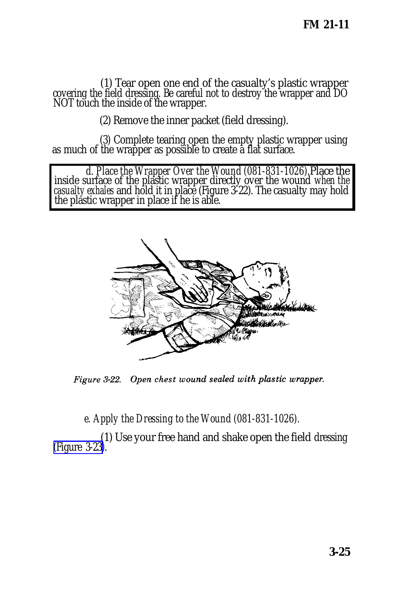(1) Tear open one end of the casualty's plastic wrapper covering the field dressing. Be careful not to destroy the wrapper and DO NOT touch the inside of the wrapper.

(2) Remove the inner packet (field dressing).

(3) Complete tearing open the empty plastic wrapper using as much of the wrapper as possible to create a flat surface.

*d. Place the Wrapper Over the Wound (081-831-1026).* Place the inside surface of the plastic wrapper directly over the wound *when the casualty exhales* and hold it in place (Figure 3-22). The casualty may hold the plastic wrapper in place if he is able.



Figure 3-22. Open chest wound sealed with plastic wrapper.

*e. Apply the Dressing to the Wound (081-831-1026).*

(1) Use your free hand and shake open the field dressing [\(Figure 3-23\)](#page-25-0).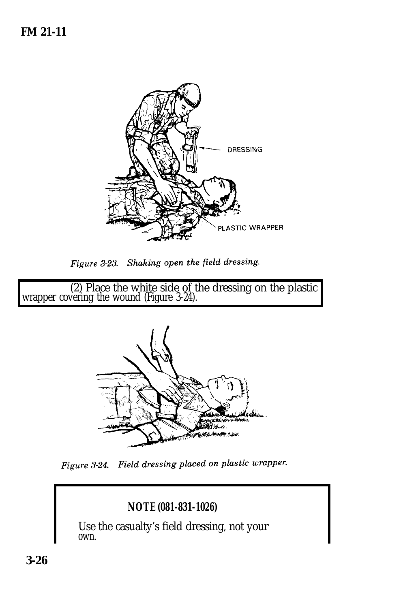<span id="page-25-0"></span>**FM 21-11**



Figure 3-23. Shaking open the field dressing.

(2) Place the white side of the dressing on the plastic wrapper covering the wound (Figure 3-24).



Figure 3-24. Field dressing placed on plastic wrapper.

### **NOTE** *(081-831-1026)*

Use the casualty's field dressing, not your own.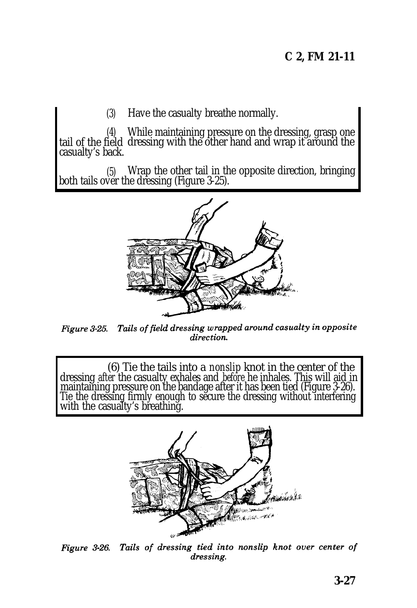## **C 2, FM 21-11**

(3) Have the casualty breathe normally.

(4) tail of the field casualty's back. While maintaining pressure on the dressing, grasp one dressing with the other hand and wrap it around the

(5) Wrap the other tail in the opposite direction, bringing both tails over the dressing (Figure 3-25).



Figure 3-25. Tails of field dressing wrapped around casualty in opposite direction.

(6) Tie the tails into a *nonslip* knot in the center of the dressing *after* the casualty exhales and *before* he inhales. This will aid in maintaining pressure on the bandage after it has been tied (Figure 3-26). Tie the dressing firmly enough to secure the dressing without interfering with the casualty's breathing.



Figure 3-26. Tails of dressing tied into nonslip knot over center of dressing.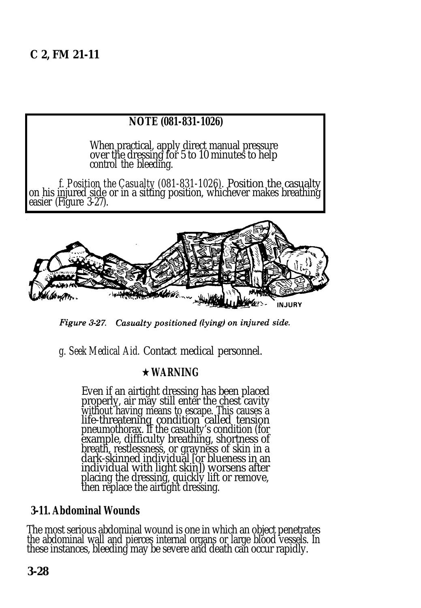

Figure 3-27. Casualty positioned (lying) on injured side.

*g. Seek Medical Aid.* Contact medical personnel.

### ★ **WARNING**

Even if an airtight dressing has been placed properly, air may still enter the chest cavity without having means to escape. This causes a life-threatening condition called tension pneumothorax. If the casualty's condition (for example, difficulty breathing, shortness of breath, restlessness, or grayness of skin in a dark-skinned individual [or blueness in an individual with light skin]) worsens after placing the dressing, quickly lift or remove, then replace the airtight dressing.

## **3-11. Abdominal Wounds**

The most serious abdominal wound is one in which an object penetrates the abdominal wall and pierces internal organs or large blood vessels. In these instances, bleeding may be severe and death can occur rapidly.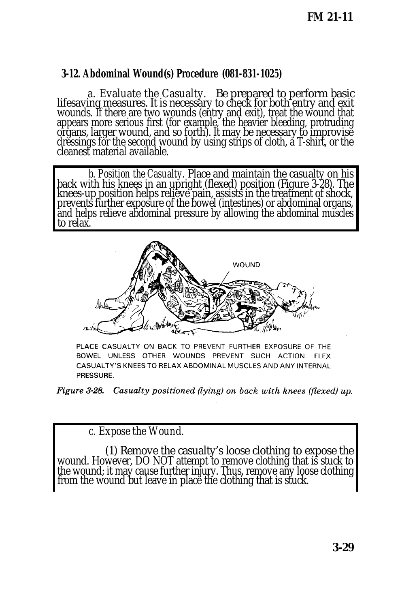### **3-12. Abdominal Wound(s) Procedure** *(081-831-1025)*

*a. Evaluate the Casualty.* Be prepared to perform basic lifesaving measures. It is necessary to check for both entry and exit wounds. If there are two wounds (entry and exit), treat the wound that appears more serious first (for example, the heavier bleeding, protruding organs, larger wound, and so forth). It may be necessary to improvise dressings for the second wound by using strips of cloth, a T-shirt, or the cleanest material available.

*b. Position the Casualty.* Place and maintain the casualty on his back with his knees in an upright (flexed) position (Figure 3-28). The knees-up position helps relieve pain, assists in the treatment of shock, prevents further exposure of the bowel (intestines) or abdominal organs, and helps relieve abdominal pressure by allowing the abdominal muscles to relax.



PLACE CASUALTY ON BACK TO PREVENT FURTHER EXPOSURE OF THE BOWEL UNLESS OTHER WOUNDS PREVENT SUCH ACTION. FLEX CASUALTY'S KNEES TO RELAX ABDOMINAL MUSCLES AND ANY INTERNAL PRESSURE.

Figure 3-28. Casualty positioned (lying) on back with knees (flexed) up.

*c. Expose the Wound.*

(1) Remove the casualty's loose clothing to expose the wound. However, DO NOT attempt to remove clothing that is stuck to the wound; it may cause further injury. Thus, remove any loose clothing from the wound but leave in place the clothing that is stuck.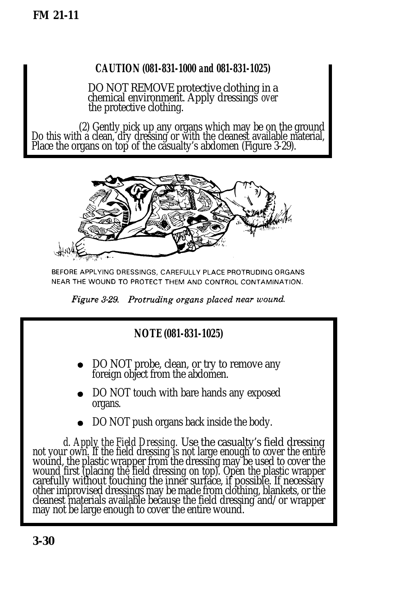**FM 21-11**

## **CAUTION** *(081-831-1000 and 081-831-1025)*

DO NOT REMOVE protective clothing in a chemical environment. Apply dressings *over* the protective clothing.

(2) Gently pick up any organs which may be on the ground Do this with a clean, dry dressing or with the cleanest available material, Place the organs on top of the casualty's abdomen (Figure 3-29).



BEFORE APPLYING DRESSINGS, CAREFULLY PLACE PROTRUDING ORGANS NEAR THE WOUND TO PROTECT THEM AND CONTROL CONTAMINATION.

Figure 3-29. Protruding organs placed near wound.

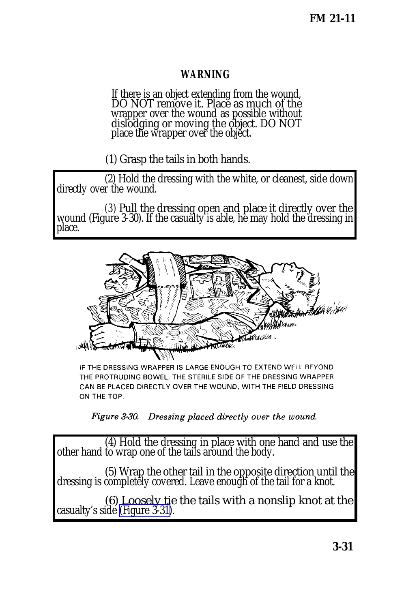**FM 21-11**

## **WARNING**

If there is an object extending from the wound, DO NOT remove it. Place as much of the wrapper over the wound as possible without dislodging or moving the object. DO NOT place the wrapper over the object.

(1) Grasp the tails in both hands.

(2) Hold the dressing with the white, or cleanest, side down directly over the wound.

*(3)* Pull the dressing open and place it directly over the wound (Figure 3-30). If the casualty is able, he may hold the dressing in place.



IF THE DRESSING WRAPPER IS LARGE ENOUGH TO EXTEND WELL BEYOND THE PROTRUDING BOWEL. THE STERILE SIDE OF THE DRESSING WRAPPER CAN BE PLACED DIRECTLY OVER THE WOUND, WITH THE FIELD DRESSING ON THE TOP.

Figure 3-30. Dressing placed directly over the wound.

(4) Hold the dressing in place with one hand and use the other hand to wrap one of the tails around the body.

(5) Wrap the other tail in the opposite direction until the dressing is completely covered. Leave enough of the tail for a knot.

(6) Loosely tie the tails with a nonslip knot at the casualty's side [\(Figure 3-31\)](#page-31-0).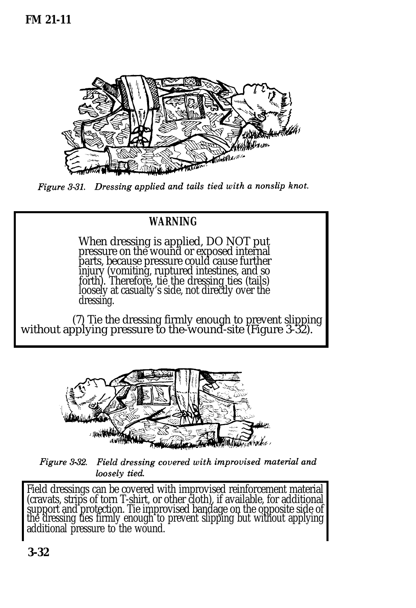<span id="page-31-0"></span>

Figure 3-31. Dressing applied and tails tied with a nonslip knot.

## **WARNING**

When dressing is applied, DO NOT put pressure on the wound or exposed internal parts, because pressure could cause further injury (vomiting, ruptured intestines, and so forth). Therefore, tie the dressing ties (tails) loosely at casualty's side, not directly over the dressing.

(7) Tie the dressing firmly enough to prevent slipping without applying pressure to the-wound-site (Figure 3-32).  $^{\circ}$ 



Figure 3-32. Field dressing covered with improvised material and loosely tied.

Field dressings can be covered with improvised reinforcement material (cravats, strips of torn T-shirt, or other cloth), if available, for additional support and protection. Tie improvised bandage on the opposite side of the dressing ties firmly enough to prevent slipping but without applying additional pressure to the wound.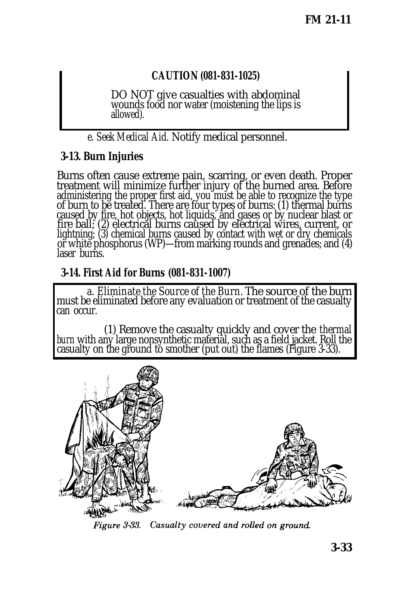## **CAUTION** *(081-831-1025)*

DO NOT give casualties with abdominal wounds food nor water (moistening the lips is allowed).

## *e. Seek Medical Aid.* Notify medical personnel.

## **3-13. Burn Injuries**

Burns often cause extreme pain, scarring, or even death. Proper treatment will minimize further injury of the burned area. Before administering the proper first aid, you must be able to recognize the type of burn to be treated. There are four types of burns: (1) thermal burns caused by fire, hot objects, hot liquids, and gases or by nuclear blast or fire ball; (2) electrical burns caused by electrical wires, current, or lightning; (3) chemical burns caused by contact with wet or dry chemicals or white phosphorus (WP)—from marking rounds and grenades; and (4) laser burns.

## **3-14. First Aid for Burns** *(081-831-1007)*

*a. Eliminate the Source of the Burn.* The source of the burn must be eliminated before any evaluation or treatment of the casualty can occur.

(1) Remove the casualty quickly and cover the *thermal burn* with any large nonsynthetic material, such as a field jacket. Roll the casualty on the ground to smother (put out) the flames (Figure 3-33).



Figure 3-33. Casualty covered and rolled on ground.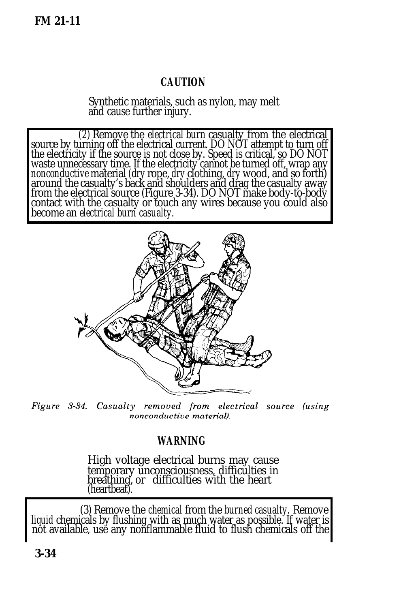## **CAUTION**

#### Synthetic materials, such as nylon, may melt and cause further injury.

*(2)* Remove the *electrical burn* casualty from the electrical source by turning off the electrical current. DO NOT attempt to turn off the electricity if the source is not close by. Speed is critical, so DO NOT waste unnecessary time. If the electricity cannot be turned off, wrap any *nonconductive* material *(dry* rope, *dry* clothing, *dry* wood, and so forth) around the casualty's back and shoulders and drag the casualty away from the electrical source (Figure 3-34). DO NOT make body-to-body contact with the casualty or touch any wires because you could also become an *electrical burn casualty.*



Figure 3-34. Casualty removed from electrical source (using nonconductive material.

## **WARNING**

High voltage electrical burns may cause temporary unconsciousness, difficulties in breathing, or difficulties with the heart (heartbeat).

(3) Remove the *chemical* from the *burned casualty.* Remove *liquid* chemicals by flushing with as much water as possible. If water is not available, use any nonflammable fluid to flush chemicals off the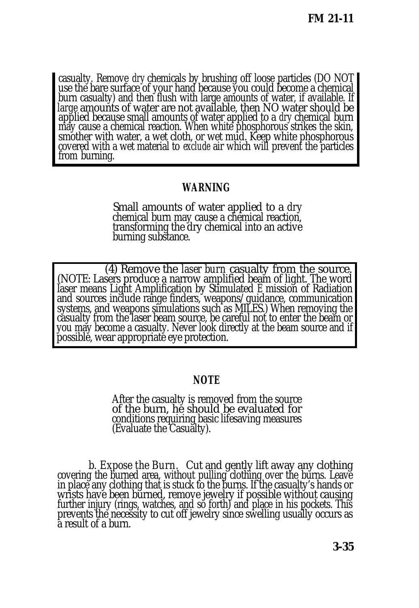casualty. Remove *dry* chemicals by brushing off loose particles (DO NOT use the bare surface of your hand because you could become a chemical burn casualty) and then flush with large amounts of water, if available. If *large* amounts of water are not available, then NO water should be applied because small amounts of water applied to a *dry* chemical burn may cause a chemical reaction. When white phosphorous strikes the skin, smother with water, a wet cloth, or wet mud. Keep white phosphorous covered with a wet material to *exclude* air which will prevent the particles from burning.

### **WARNING**

Small amounts of water applied to a *dry* chemical burn may cause a chemical reaction, transforming the dry chemical into an active burning substance.

(4) Remove the *laser burn* casualty from the source. (NOTE: Lasers produce a narrow amplified beam of light. The word laser means Light Amplification by Stimulated *E* mission of Radiation and sources include range finders, weapons/guidance, communication systems, and weapons simulations such as MILES.) When removing the casualty from the laser beam source, be careful not to enter the beam or you may become a casualty. Never look directly at the beam source and if possible, wear appropriate eye protection.

#### **NOTE**

After the casualty is removed from the source of the burn, he should be evaluated for conditions requiring basic lifesaving measures (Evaluate the Casualty).

*b. Expose the Burn.* Cut and gently lift away any clothing covering the burned area, without pulling clothing over the burns. Leave in place any clothing that is stuck to the burns. If the casualty's hands or wrists have been burned, remove jewelry if possible without causing further injury (rings, watches, and so forth) and place in his pockets. This prevents the necessity to cut off jewelry since swelling usually occurs as a result of a burn.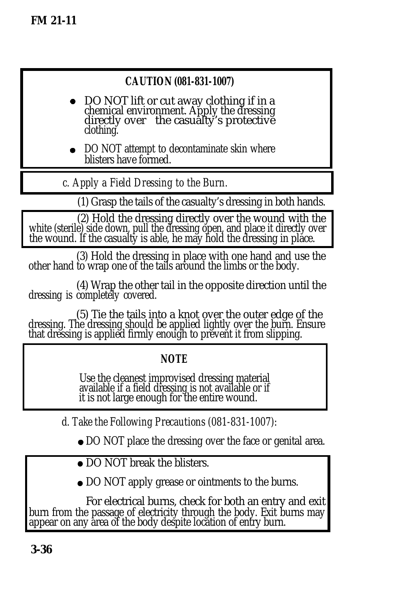## **CAUTION** *(081-831-1007)*

- DO NOT lift or cut away clothing if in a chemical environment. Apply the dressing directly over the casualty's protective clothing.
- DO NOT attempt to decontaminate skin where blisters have formed.

*c. Apply a Field Dressing to the Burn.*

(1) Grasp the tails of the casualty's dressing in both hands.

(2) Hold the dressing directly over the wound with the white (sterile) side down, pull the dressing open, and place it directly over the wound. If the casualty is able, he may hold the dressing in place.

(3) Hold the dressing in place with one hand and use the other hand to wrap one of the tails around the limbs or the body.

(4) Wrap the other tail in the opposite direction until the dressing is completely covered.

(5) Tie the tails into a knot over the outer edge of the dressing. The dressing should be applied lightly over the burn. Ensure that dressing is applied firmly enough to prevent it from slipping.

## **NOTE**

Use the cleanest improvised dressing material available if a field dressing is not available or if it is not large enough for the entire wound.

*d. Take the Following Precautions (081-831-1007):*

- DO NOT place the dressing over the face or genital area.
- DO NOT break the blisters.
- DO NOT apply grease or ointments to the burns.

For electrical burns, check for both an entry and exit burn from the passage of electricity through the body. Exit burns may appear on any area of the body despite location of entry burn.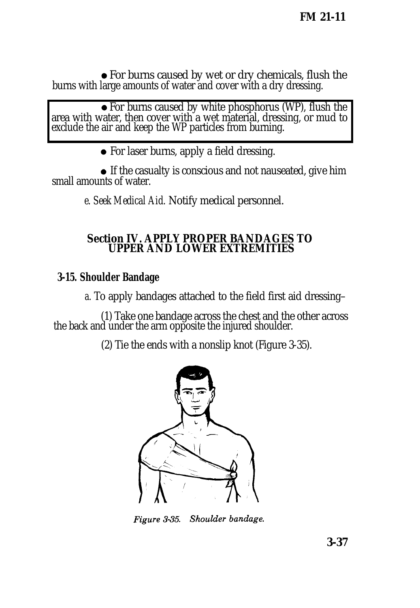For burns caused by wet or dry chemicals, flush the burns with large amounts of water and cover with a dry dressing.

For burns caused by white phosphorus (WP), flush the area with water, then cover with a wet material, dressing, or mud to exclude the air and keep the WP particles from burning.

For laser burns, apply a field dressing.

• If the casualty is conscious and not nauseated, give him small amounts of water.

*e. Seek Medical Aid.* Notify medical personnel.

### **Section IV. APPLY PROPER BANDAGES TO UPPER AND LOWER EXTREMITIES**

## **3-15. Shoulder Bandage**

*a.* To apply bandages attached to the field first aid dressing–

(1) Take one bandage across the chest and the other across the back and under the arm opposite the injured shoulder.

(2) Tie the ends with a nonslip knot (Figure 3-35).



Figure 3-35. Shoulder bandage.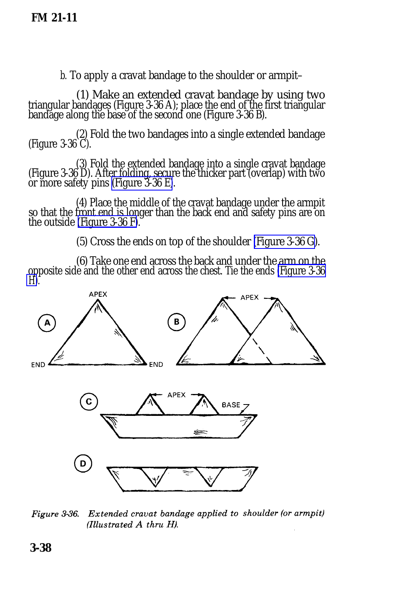*b.* To apply a cravat bandage to the shoulder or armpit–

(1) Make an extended cravat bandage by using two triangular bandages (Figure 3-36 A); place the end of the first triangular bandage along the base of the second one (Figure 3-36 B).

(2) Fold the two bandages into a single extended bandage (Figure 3-36 C).

(3) Fold the extended bandage into a single cravat bandage (Figure 3-36 D). After folding, secure the thicker part (overlap) with two or more safety pins [\(Figure 3-36 E\)](#page-38-0).

(4) Place the middle of the cravat bandage under the armpit so that the front end is longer than the back end and safety pins are on the outside [\(Figure 3-36 F\)](#page-38-0).

(5) Cross the ends on top of the shoulder [\(Figure 3-36 G\)](#page-38-0).

(6) Take one end across the back and under the arm on the opposite side and the other end across the chest. Tie the ends [\(Figure 3-36](#page-38-0) [H\)](#page-38-0).



Figure 3-36. Extended cravat bandage applied to shoulder (or armpit) (Illustrated A thru H).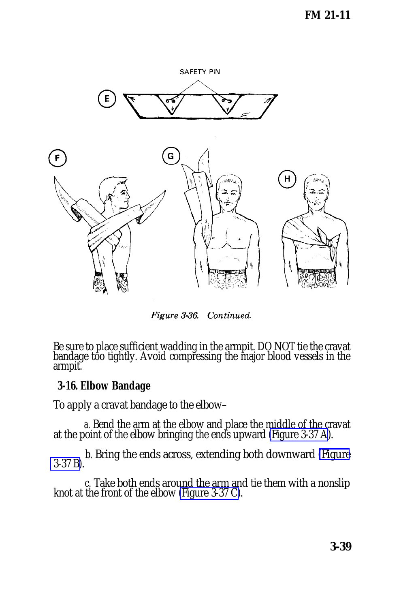<span id="page-38-0"></span>

Figure 3-36. Continued.

Be sure to place sufficient wadding in the armpit. DO NOT tie the cravat bandage too tightly. Avoid compressing the major blood vessels in the armpit.

## **3-16. Elbow Bandage**

To apply a cravat bandage to the elbow–

*a.* Bend the arm at the elbow and place the middle of the cravat at the point of the elbow bringing the ends upward [\(Figure 3-37 A\)](#page-39-0).

*b.* Bring the ends across, extending both downward [\(Figure](#page-39-0) [3-37 B\)](#page-39-0).

*c.* Take both ends around the arm and tie them with a nonslip knot at the front of the elbow [\(Figure 3-37 C\)](#page-39-0).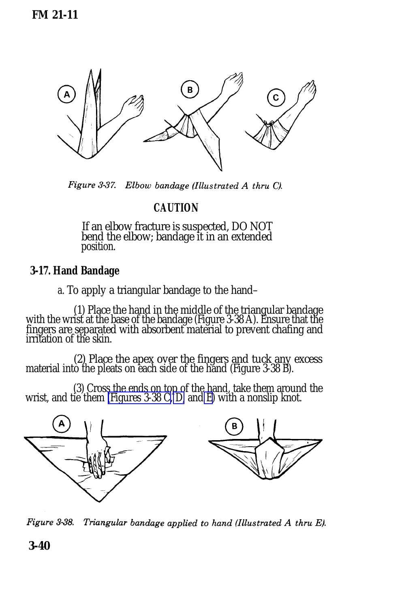<span id="page-39-0"></span>

Figure 3-37. Elbow bandage (Illustrated A thru C).

## **CAUTION**

If an elbow fracture is suspected, DO NOT bend the elbow; bandage it in an extended position.

## **3-17. Hand Bandage**

*a.* To apply a triangular bandage to the hand–

(1) Place the hand in the middle of the triangular bandage with the wrist at the base of the bandage (Figure 3-38 A). Ensure that the fingers are separated with absorbent material to prevent chafing and irritation of the skin.

(2) Place the apex over the fingers and tuck any excess material into the pleats on each side of the hand (Figure 3-38 B).

(3) Cross the ends on top of the hand, take them around the wrist, and tie them [\(Figures 3-38 C, D,](#page-40-0) and [E\)](#page-40-0) with a nonslip knot.



Figure 3-38. Triangular bandage applied to hand (Illustrated A thru E).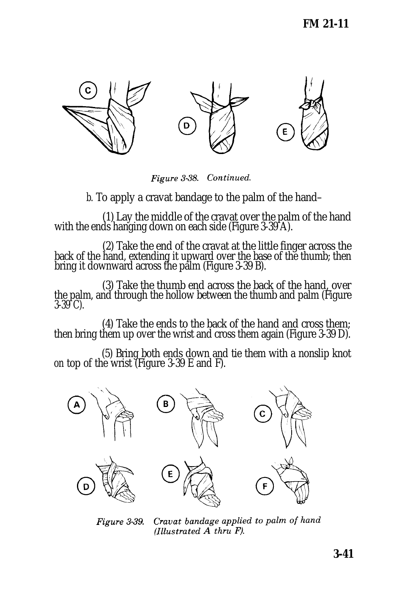<span id="page-40-0"></span>

Figure 3-38. Continued.

*b.* To apply a cravat bandage to the palm of the hand–

(1) Lay the middle of the cravat over the palm of the hand with the ends hanging down on each side (Figure 3-39<sup>-</sup>A).

(2) Take the end of the cravat at the little finger across the back of the hand, extending it upward over the base of the thumb; then bring it downward across the palm (Figure 3-39 B).

(3) Take the thumb end across the back of the hand, over the palm, and through the hollow between the thumb and palm (Figure  $3-39^{\circ}C$ ).

(4) Take the ends to the back of the hand and cross them; then bring them up over the wrist and cross them again (Figure 3-39 D).

on top of the wrist (Figure 3-39 E and F). (5) Bring both ends down and tie them with a nonslip knot



Cravat bandage applied to palm of hand Figure 3-39. (Illustrated  $A$  thru  $F$ ).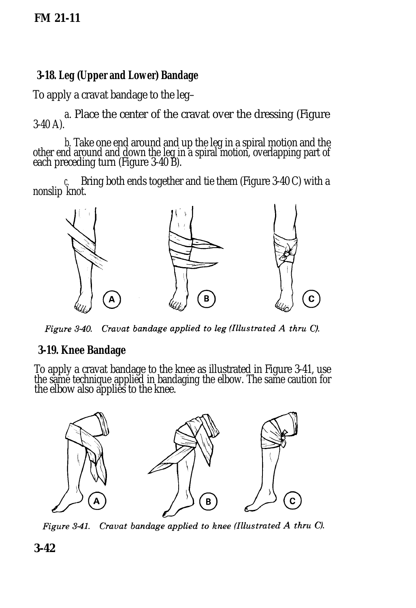## **3-18. Leg (Upper and Lower) Bandage**

To apply a cravat bandage to the leg–

*a.* Place the center of the cravat over the dressing (Figure 3-40 A).

*b.* Take one end around and up the leg in a spiral motion and the other end around and down the leg in a spiral motion, overlapping part of each preceding turn (Figure 3-40 B).

*c.* Bring both ends together and tie them (Figure 3-40 C) with a nonslip knot.



Figure 3-40. Cravat bandage applied to leg (Illustrated A thru C).

## **3-19. Knee Bandage**

To apply a cravat bandage to the knee as illustrated in Figure 3-41, use the same technique applied in bandaging the elbow. The same caution for the elbow also applies to the knee.



Figure 3-41. Cravat bandage applied to knee (Illustrated A thru C).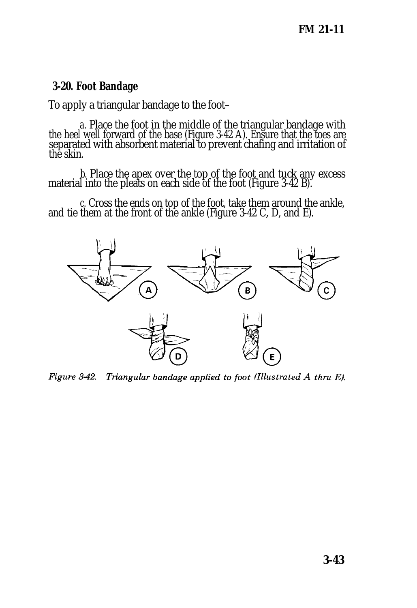## **3-20. Foot Bandage**

To apply a triangular bandage to the foot–

*a.* Place the foot in the middle of the triangular bandage with the heel well forward of the base (Figure 3-42 A). Ensure that the toes are separated with absorbent material to prevent chafing and irritation of the skin.

*b.* Place the apex over the top of the foot and tuck any excess material into the pleats on each side of the foot (Figure 3-42 B).

*c.* Cross the ends on top of the foot, take them around the ankle, and tie them at the front of the ankle (Figure 3-42 C, D, and E).



Figure 3-42. Triangular bandage applied to foot (Illustrated A thru E).